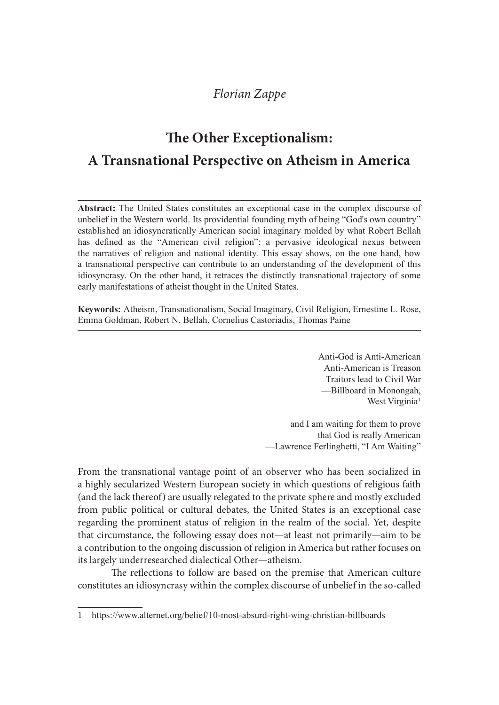# The Other Exceptionalism: A Transnational Perspective on Atheism in America

**Example 7 The Other Exceptionalism:**<br> **A Transnational Perspective on Atheism in America**<br> **Abstract:** The United States constitutes an exceptional case in the complex discourse of<br>
unbelief in the Wester word. Its provid unbelief in the Western world. Its providential founding myth of being "God's own country" established an idiosyncratically American social imaginary molded by what Robert Bellah has defined as the "American civil religion": a pervasive ideological nexus between **Example 12**<br> **Example 12**<br> **COVERT EXCEPT COVERT EXCEPT ON A SURFACT:**<br> **COVERT ASSET ASSET ASSET ASSET ASSET AND THE UNITED THE UNITED ASSET AND THE UNITED THE UNITED AND A REAL AND MONETON A MONETON THAN HAS defined as The Other Exceptionalism:**<br> **COVACT TREP CONTIGET ASSET ASSET ASSET ASSET ASSET ASSET AS THE United States constitutes an exceptional case in the complex discourse of abstract: The United States constitutes an exceptional Example 12**<br> **Example 12**<br> **COMBAT READ CONTROM CONTROM CONTROM CONTROM CONTROM CONTROM CONTROM ABSTACT:**<br>
The United States constitutes an exceptional case in the complex discourse of<br>
unbelicf in the Western world. Its early manifestations of atheist thought in the United States.

Keywords: Atheism, Transnationalism, Social Imaginary, Civil Religion, Ernestine L. Rose, Emma Goldman, Robert N. Bellah, Cornelius Castoriadis, Thomas Paine

> Anti-God is Anti-American Anti-American is Treason Traitors lead to Civil War —Billboard in Monongah, West Virginia<sup>1</sup>

and I am waiting for them to prove that God is really American —Lawrence Ferlinghetti, "I Am Waiting"

From the transnational vantage point of an observer who has been socialized in a highly secularized Western European society in which questions of religious faith (and the lack thereof) are usually relegated to the private sphere and mostly excluded from public political or cultural debates, the United States is an exceptional case regarding the prominent status of religion in the realm of the social. Yet, despite that circumstance, the following essay does not—at least not primarily—aim to be a contribution to the ongoing discussion of religion in America but rather focuses on its largely underresearched dialectical Other—atheism.

The reflections to follow are based on the premise that American culture constitutes an idiosyncrasy within the complex discourse of unbelief in the so-called

<sup>1</sup> https://www.alternet.org/belief/10-most-absurd-right-wing-christian-billboards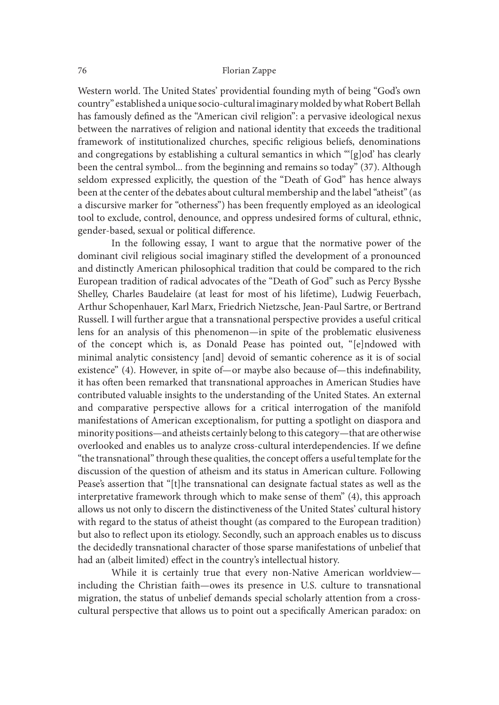Western world. The United States' providential founding myth of being "God's own country" established a unique socio-cultural imaginary molded by what Robert Bellah has famously defined as the "American civil religion": a pervasive ideological nexus between the narratives of religion and national identity that exceeds the traditional framework of institutionalized churches, specific religious beliefs, denominations and congregations by establishing a cultural semantics in which "'[g]od' has clearly been the central symbol... from the beginning and remains so today" (37). Although seldom expressed explicitly, the question of the "Death of God" has hence always been at the center of the debates about cultural membership and the label "atheist" (as a discursive marker for "otherness") has been frequently employed as an ideological tool to exclude, control, denounce, and oppress undesired forms of cultural, ethnic, gender-based, sexual or political difference.

 In the following essay, I want to argue that the normative power of the dominant civil religious social imaginary stifled the development of a pronounced and distinctly American philosophical tradition that could be compared to the rich European tradition of radical advocates of the "Death of God" such as Percy Bysshe Shelley, Charles Baudelaire (at least for most of his lifetime), Ludwig Feuerbach, Arthur Schopenhauer, Karl Marx, Friedrich Nietzsche, Jean-Paul Sartre, or Bertrand Russell. I will further argue that a transnational perspective provides a useful critical lens for an analysis of this phenomenon—in spite of the problematic elusiveness of the concept which is, as Donald Pease has pointed out, "[e]ndowed with minimal analytic consistency [and] devoid of semantic coherence as it is of social existence" (4). However, in spite of—or maybe also because of—this indefinability, it has oten been remarked that transnational approaches in American Studies have contributed valuable insights to the understanding of the United States. An external and comparative perspective allows for a critical interrogation of the manifold manifestations of American exceptionalism, for putting a spotlight on diaspora and minority positions—and atheists certainly belong to this category—that are otherwise overlooked and enables us to analyze cross-cultural interdependencies. If we define "the transnational" through these qualities, the concept offers a useful template for the discussion of the question of atheism and its status in American culture. Following Pease's assertion that "[t]he transnational can designate factual states as well as the interpretative framework through which to make sense of them" (4), this approach allows us not only to discern the distinctiveness of the United States' cultural history with regard to the status of atheist thought (as compared to the European tradition) but also to reflect upon its etiology. Secondly, such an approach enables us to discuss the decidedly transnational character of those sparse manifestations of unbelief that had an (albeit limited) effect in the country's intellectual history.

 While it is certainly true that every non-Native American worldview including the Christian faith—owes its presence in U.S. culture to transnational migration, the status of unbelief demands special scholarly attention from a crosscultural perspective that allows us to point out a specifically American paradox: on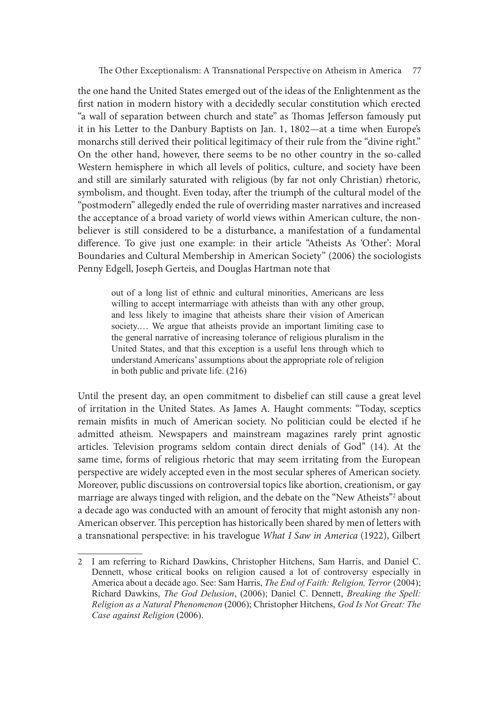the one hand the United States emerged out of the ideas of the Enlightenment as the first nation in modern history with a decidedly secular constitution which erected "a wall of separation between church and state" as Thomas Jefferson famously put it in his Letter to the Danbury Baptists on Jan. 1, 1802—at a time when Europe's monarchs still derived their political legitimacy of their rule from the "divine right." On the other hand, however, there seems to be no other country in the so-called Western hemisphere in which all levels of politics, culture, and society have been and still are similarly saturated with religious (by far not only Christian) rhetoric, symbolism, and thought. Even today, ater the triumph of the cultural model of the "postmodern" allegedly ended the rule of overriding master narratives and increased the acceptance of a broad variety of world views within American culture, the nonbeliever is still considered to be a disturbance, a manifestation of a fundamental difference. To give just one example: in their article "Atheists As 'Other': Moral Boundaries and Cultural Membership in American Society" (2006) the sociologists Penny Edgell, Joseph Gerteis, and Douglas Hartman note that not moreous throw the vector of the particle degree of the David Viewell Letter to the Danbury Baptists on Jan. 1, 1802—at a time when Europe's as still deriver their politicial legitimacy of their rule from the "divine r

out of a long list of ethnic and cultural minorities, Americans are less willing to accept intermarriage with atheists than with any other group, society.... We argue that atheists provide an important limiting case to the general narrative of increasing tolerance of religious pluralism in the United States, and that this exception is a useful lens through which to understand Americans' assumptions about the appropriate role of religion in both public and private life. (216)

Until the present day, an open commitment to disbelief can still cause a great level of irritation in the United States. As James A. Haught comments: "Today, sceptics remain misfits in much of American society. No politician could be elected if he admitted atheism. Newspapers and mainstream magazines rarely print agnostic articles. Television programs seldom contain direct denials of God" (14). At the same time, forms of religious rhetoric that may seem irritating from the European perspective are widely accepted even in the most secular spheres of American society. Moreover, public discussions on controversial topics like abortion, creationism, or gay marriage are always tinged with religion, and the debate on the "New Atheists"2 about a decade ago was conducted with an amount of ferocity that might astonish any non-American observer. This perception has historically been shared by men of letters with a transnational perspective: in his travelogue What I Saw in America (1922), Gilbert id the present day, an open commitment to disbelief can still cause a great level<br>rritation in the United States. As James A. Haught comments: "Today, sceptics<br>hain misfils in much of American society. No politician could

<sup>2</sup> I am referring to Richard Dawkins, Christopher Hitchens, Sam Harris, and Daniel C. Dennett, whose critical books on religion caused a lot of controversy especially in America about a decade ago. See: Sam Harris, *The End of Faith: Religion, Terror* (2004); Richard Dawkins, *The God Delusion*, (2006); Daniel C. Dennett, *Breaking the Spell:* Religion as a Natural Phenomenon (2006); Christopher Hitchens, God Is Not Great: The Case against Religion (2006).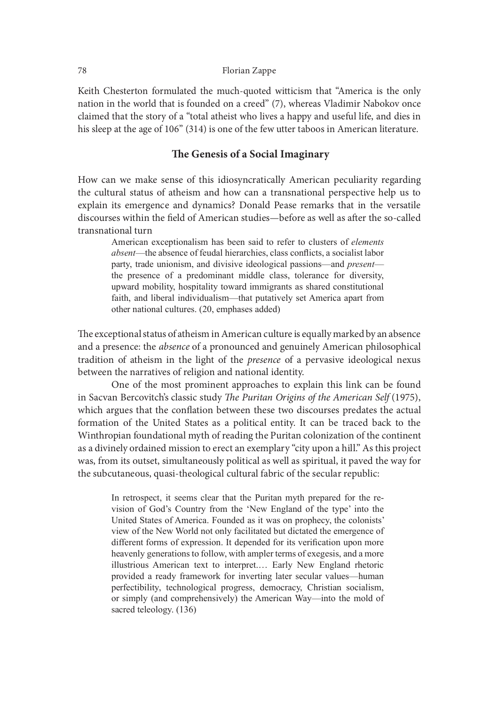Keith Chesterton formulated the much-quoted witticism that "America is the only nation in the world that is founded on a creed" (7), whereas Vladimir Nabokov once claimed that the story of a "total atheist who lives a happy and useful life, and dies in his sleep at the age of 106" (314) is one of the few utter taboos in American literature.

# The Genesis of a Social Imaginary

How can we make sense of this idiosyncratically American peculiarity regarding the cultural status of atheism and how can a transnational perspective help us to explain its emergence and dynamics? Donald Pease remarks that in the versatile discourses within the field of American studies—before as well as after the so-called transnational turn

Florian Zappe<br>
Florian Zappe<br>
hesterton formulated the much-quoted witticism that "America is the only<br>
the word that is founded on a creed" (7), whereas Vladimir Nabokov once<br>
that the story of a "total atheists who lives absent—the absence of feudal hierarchies, class conflicts, a socialist labor party, trade unionism, and divisive ideological passions—and present— Florian Zappe<br>
Florian Zappe<br>
the the world that is founded on a creed<sup>"</sup> (7), whereas Vladimir Nabokov once<br>
that the story of a "total atheist who lives a happy and useful life, and dies in<br>
at the age of 106" (314) is o upward mobility, hospitality toward immigrants as shared constitutional faith, and liberal individualism—that putatively set America apart from other national cultures. (20, emphases added)

The exceptional status of atheism in American culture is equally marked by an absence and a presence: the absence of a pronounced and genuinely American philosophical tradition of atheism in the light of the presence of a pervasive ideological nexus between the narratives of religion and national identity.

 One of the most prominent approaches to explain this link can be found in Sacvan Bercovitch's classic study The Puritan Origins of the American Self (1975), which argues that the conflation between these two discourses predates the actual formation of the United States as a political entity. It can be traced back to the Winthropian foundational myth of reading the Puritan colonization of the continent as a divinely ordained mission to erect an exemplary "city upon a hill." As this project was, from its outset, simultaneously political as well as spiritual, it paved the way for the subcutaneous, quasi-theological cultural fabric of the secular republic: facture and interest (20, emphases and interest and the presence and intrinsium and iberal individualism—that putatively set America apart from other national cultures. (20, emphases added) prional status of absence of a p

United States of America. Founded as it was on prophecy, the colonists' view of the New World not only facilitated but dictated the emergence of different forms of expression. It depended for its verification upon more heavenly generations to follow, with ampler terms of exegesis, and a more In entraitives of religion and national identity.<br>
the narratives of religion and national identity.<br>
One of the most prominent approaches to explain this link can be found<br>
in Bercovitch's classic study *The Puritan Origi* provided a ready framework for inverting later secular values—human perfectibility, technological progress, democracy, Christian socialism, or simply (and comprehensively) the American Way—into the mold of sacred teleology. (136)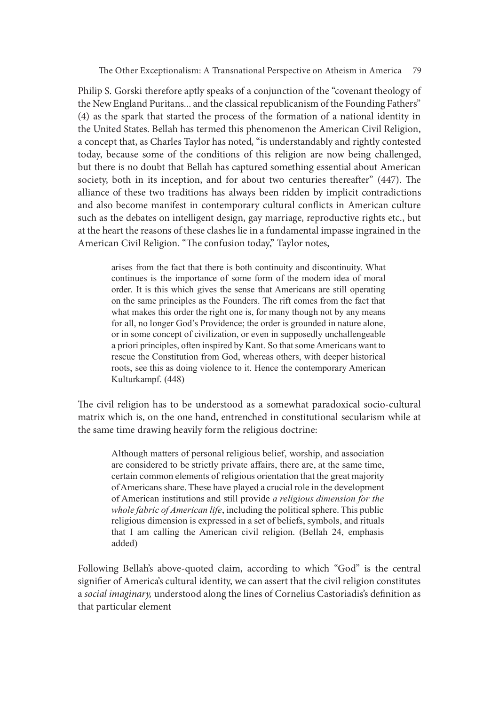e Other Exceptionalism: A Transnational Perspective on Atheism in America 79

Philip S. Gorski therefore aptly speaks of a conjunction of the "covenant theology of the New England Puritans... and the classical republicanism of the Founding Fathers" (4) as the spark that started the process of the formation of a national identity in the United States. Bellah has termed this phenomenon the American Civil Religion, a concept that, as Charles Taylor has noted, "is understandably and rightly contested today, because some of the conditions of this religion are now being challenged, but there is no doubt that Bellah has captured something essential about American society, both in its inception, and for about two centuries thereafter"  $(447)$ . The alliance of these two traditions has always been ridden by implicit contradictions and also become manifest in contemporary cultural conflicts in American culture such as the debates on intelligent design, gay marriage, reproductive rights etc., but at the heart the reasons of these clashes lie in a fundamental impasse ingrained in the American Civil Religion. "The confusion today," Taylor notes, Other Exceptionalism: A Transnational Perspective on Atheism in America 79<br>
Gorski therefore aptly speaks of a conjunction of the "covenant theology of<br>
England Puritans... and the classical republicanism of the Founding F

arises from the fact that there is both continuity and discontinuity. What order. It is this which gives the sense that Americans are still operating on the same principles as the Founders. The rift comes from the fact that what makes this order the right one is, for many though not by any means for all, no longer God's Providence; the order is grounded in nature alone, or in some concept of civilization, or even in supposedly unchallengeable a priori principles, often inspired by Kant. So that some Americans want to rescue the Constitution from God, whereas others, with deeper historical roots, see this as doing violence to it. Hence the contemporary American Kulturkampf. (448)

The civil religion has to be understood as a somewhat paradoxical socio-cultural matrix which is, on the one hand, entrenched in constitutional secularism while at the same time drawing heavily form the religious doctrine:

Although matters of personal religious belief, worship, and association are considered to be strictly private affairs, there are, at the same time, certain common elements of religious orientation that the great majority of Americans share. These have played a crucial role in the development of American institutions and still provide a religious dimension for the whole fabric of American life, including the political sphere. This public religious dimension is expressed in a set of beliefs, symbols, and rituals that I am calling the American civil religion. (Bellah 24, emphasis added)

Following Bellah's above-quoted claim, according to which "God" is the central signifier of America's cultural identity, we can assert that the civil religion constitutes a social imaginary, understood along the lines of Cornelius Castoriadis's definition as that particular element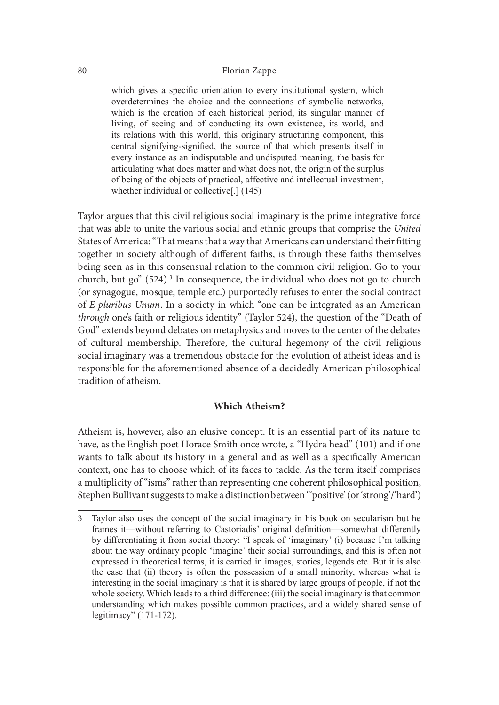which gives a specific orientation to every institutional system, which Florian Zappe<br>
Which gives a specific orientation to every institutional system, which<br>
overdetermines the choice and the connections of symbolic networks,<br>
which is the creation of each historical period, its singular man Florian Zappe<br>
Elorian Zappe<br>
which gives a specific orientation to every institutional system, which<br>
weiverdetermines the choice and the connections of symbolic networks,<br>
which is the creation of each historical period, Florian Zappe<br>
Florian Zappe<br>
which gives a specific orientation to every institutional system, which<br>
overdetermines the choice and the connections of symbolic networks,<br>
which is the creation of each historical period, i Florian Zappe<br>
Florian Zappe<br>
Election is a specific orientation to every institutional system, which<br>
overdetermines the choice and the connections of symbolic networks,<br>
which is the creation of each historical period, i central signifying-signified, the source of that which presents itself in every instance as an indisputable and undisputed meaning, the basis for articulating what does matter and what does not, the origin of the surplus of being of the objects of practical, affective and intellectual investment, whether individual or collective[.] (145)

Taylor argues that this civil religious social imaginary is the prime integrative force that was able to unite the various social and ethnic groups that comprise the United States of America: "That means that a way that Americans can understand their fitting together in society although of different faiths, is through these faiths themselves being seen as in this consensual relation to the common civil religion. Go to your church, but go" (524).<sup>3</sup> In consequence, the individual who does not go to church (or synagogue, mosque, temple etc.) purportedly refuses to enter the social contract of E pluribus Unum. In a society in which "one can be integrated as an American through one's faith or religious identity" (Taylor 524), the question of the "Death of God" extends beyond debates on metaphysics and moves to the center of the debates of cultural membership. Therefore, the cultural hegemony of the civil religious social imaginary was a tremendous obstacle for the evolution of atheist ideas and is responsible for the aforementioned absence of a decidedly American philosophical tradition of atheism. through one's faith or religious identity" (Taylor 524), the question of the "Death of<br>
Got" extends beyond debates on tentaphyises and moves to the center of the debates<br>
Gof" cultural membership. Therefore, the cultural

# Which Atheism?

Atheism is, however, also an elusive concept. It is an essential part of its nature to have, as the English poet Horace Smith once wrote, a "Hydra head" (101) and if one wants to talk about its history in a general and as well as a specifically American context, one has to choose which of its faces to tackle. As the term itself comprises a multiplicity of "isms" rather than representing one coherent philosophical position, Stephen Bullivant suggests to make a distinction between "'positive' (or 'strong'/'hard')

frames it—without referring to Castoriadis' original definition—somewhat differently by differentiating it from social theory: "I speak of 'imaginary' (i) because I'm talking Catter of the context of the step and moves of the civil religious<br>
ind imaginary was a tremendous obstacle for the evolution of atheist ideas and is<br>
ial imaginary was a tremendous obstacle for the evolution of atheist id about the way ordinary people 'imagine' their social surroundings, and this is often not expressed in theoretical terms, it is carried in images, stories, legends etc. But it is also onsible for the aforementioned absence of a decidedly American philosophical<br>
idition of atheism.<br> **Which Atheism?**<br>
eisin is, however, also an elusive concept. It is an essential part of its nature to<br>
e, as the English p interesting in the social imaginary is that it is shared by large groups of people, if not the whole society. Which leads to a third difference: (iii) the social imaginary is that common **Which Atheism?**<br> **Which Atheism?**<br>
e, as the English poet Horace Smith once wrote, a "Hydra head" (101) and if one<br>
tats to talk about its history in a general and as well as a specifically American<br>
ettat, one has to cho legitimacy" (171-172).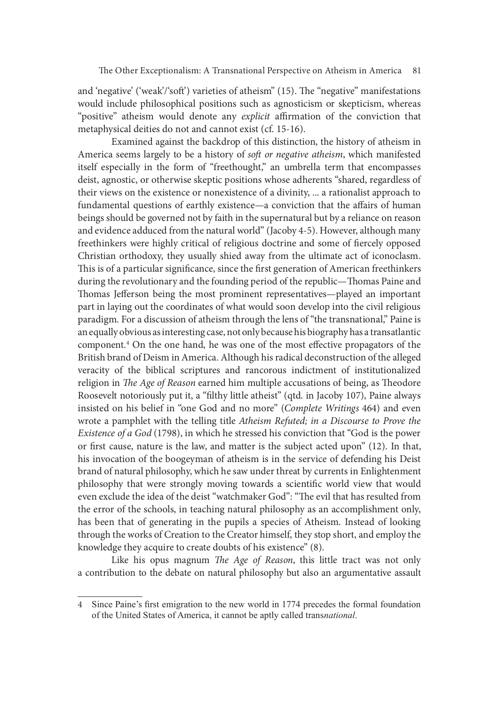and 'negative' ('weak'/'soft') varieties of atheism" (15). The "negative" manifestations would include philosophical positions such as agnosticism or skepticism, whereas "positive" atheism would denote any explicit affirmation of the conviction that metaphysical deities do not and cannot exist (cf. 15-16).

Examined against the backdrop of this distinction, the history of atheism in America seems largely to be a history of soft or negative atheism, which manifested itself especially in the form of "freethought," an umbrella term that encompasses deist, agnostic, or otherwise skeptic positions whose adherents "shared, regardless of their views on the existence or nonexistence of a divinity, ... a rationalist approach to fundamental questions of earthly existence—a conviction that the affairs of human beings should be governed not by faith in the supernatural but by a reliance on reason and evidence adduced from the natural world" (Jacoby 4-5). However, although many freethinkers were highly critical of religious doctrine and some of fiercely opposed Christian orthodoxy, they usually shied away from the ultimate act of iconoclasm. This is of a particular significance, since the first generation of American freethinkers during the revolutionary and the founding period of the republic—Thomas Paine and Thomas Jefferson being the most prominent representatives—played an important part in laying out the coordinates of what would soon develop into the civil religious paradigm. For a discussion of atheism through the lens of "the transnational," Paine is an equally obvious as interesting case, not only because his biography has a transatlantic component.<sup>4</sup> On the one hand, he was one of the most effective propagators of the British brand of Deism in America. Although his radical deconstruction of the alleged veracity of the biblical scriptures and rancorous indictment of institutionalized religion in The Age of Reason earned him multiple accusations of being, as Theodore Roosevelt notoriously put it, a "filthy little atheist" (qtd. in Jacoby 107), Paine always insisted on his belief in "one God and no more" (Complete Writings 464) and even wrote a pamphlet with the telling title Atheism Refuted; in a Discourse to Prove the Existence of a God (1798), in which he stressed his conviction that "God is the power or first cause, nature is the law, and matter is the subject acted upon"  $(12)$ . In that, his invocation of the boogeyman of atheism is in the service of defending his Deist brand of natural philosophy, which he saw under threat by currents in Enlightenment philosophy that were strongly moving towards a scientific world view that would even exclude the idea of the deist "watchmaker God": "The evil that has resulted from the error of the schools, in teaching natural philosophy as an accomplishment only, has been that of generating in the pupils a species of Atheism. Instead of looking through the works of Creation to the Creator himself, they stop short, and employ the knowledge they acquire to create doubts of his existence" (8).

Like his opus magnum The Age of Reason, this little tract was not only a contribution to the debate on natural philosophy but also an argumentative assault

<sup>4</sup> Since Paine's first emigration to the new world in 1774 precedes the formal foundation of the United States of America, it cannot be aptly called transnational.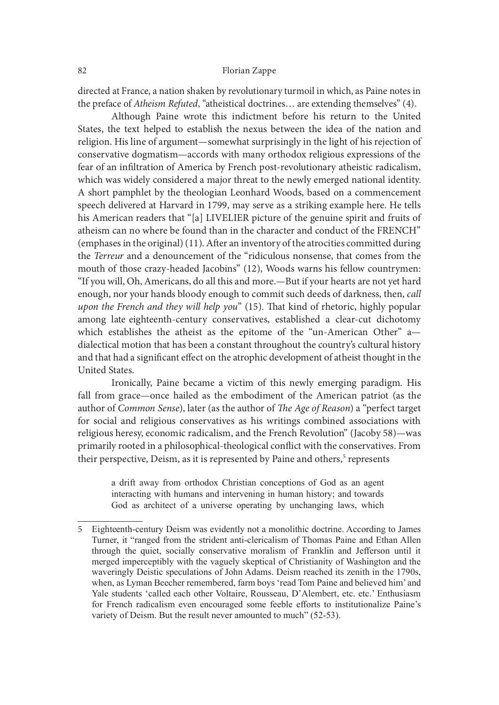directed at France, a nation shaken by revolutionary turmoil in which, as Paine notes in the preface of Atheism Refuted, "atheistical doctrines… are extending themselves" (4).

 Although Paine wrote this indictment before his return to the United States, the text helped to establish the nexus between the idea of the nation and religion. His line of argument—somewhat surprisingly in the light of his rejection of conservative dogmatism—accords with many orthodox religious expressions of the fear of an infiltration of America by French post-revolutionary atheistic radicalism, which was widely considered a major threat to the newly emerged national identity. A short pamphlet by the theologian Leonhard Woods, based on a commencement speech delivered at Harvard in 1799, may serve as a striking example here. He tells his American readers that "[a] LIVELIER picture of the genuine spirit and fruits of atheism can no where be found than in the character and conduct of the FRENCH" (emphases in the original) (11). Ater an inventory of the atrocities committed during the Terreur and a denouncement of the "ridiculous nonsense, that comes from the mouth of those crazy-headed Jacobins" (12), Woods warns his fellow countrymen: "If you will, Oh, Americans, do all this and more.—But if your hearts are not yet hard enough, nor your hands bloody enough to commit such deeds of darkness, then, call upon the French and they will help you"  $(15)$ . That kind of rhetoric, highly popular among late eighteenth-century conservatives, established a clear-cut dichotomy which establishes the atheist as the epitome of the "un-American Other" a dialectical motion that has been a constant throughout the country's cultural history and that had a significant effect on the atrophic development of atheist thought in the United States.

 Ironically, Paine became a victim of this newly emerging paradigm. His fall from grace—once hailed as the embodiment of the American patriot (as the author of Common Sense), later (as the author of The Age of Reason) a "perfect target for social and religious conservatives as his writings combined associations with religious heresy, economic radicalism, and the French Revolution" (Jacoby 58)—was primarily rooted in a philosophical-theological conflict with the conservatives. From their perspective, Deism, as it is represented by Paine and others,<sup>5</sup> represents Increasing the atter as the epitome of the un-American Otter and Chemical chectical motion that has been a constant throughout the country's cultural history that had a significant effect on the atrophic development of at

a drift away from orthodox Christian conceptions of God as an agent interacting with humans and intervening in human history; and towards God as architect of a universe operating by unchanging laws, which

<sup>5</sup> Eighteenth-century Deism was evidently not a monolithic doctrine. According to James electical motion than sheen a constant throughout the country's cultural history<br>
ithat had a significant effect on the atrophic development of atheist thought in the<br>
ited States.<br>
Ironically, Paine became a victim of thi merged imperceptibly with the vaguely skeptical of Christianity of Washington and the waveringly Deistic speculations of John Adams. Deism reached its zenith in the 1790s, when, as Lyman Beecher remembered, farm boys 'read Tom Paine and believed him' and Yale students 'called each other Voltaire, Rousseau, D'Alembert, etc. etc.' Enthusiasm Tour grac—onte nanet are the emotoment on the American patroto (Sommon Sense), later (as the author of *The Age of Reason*) a "perfect target social and religious conservatives as his writings combined associations with s variety of Deism. But the result never amounted to much" (52-53).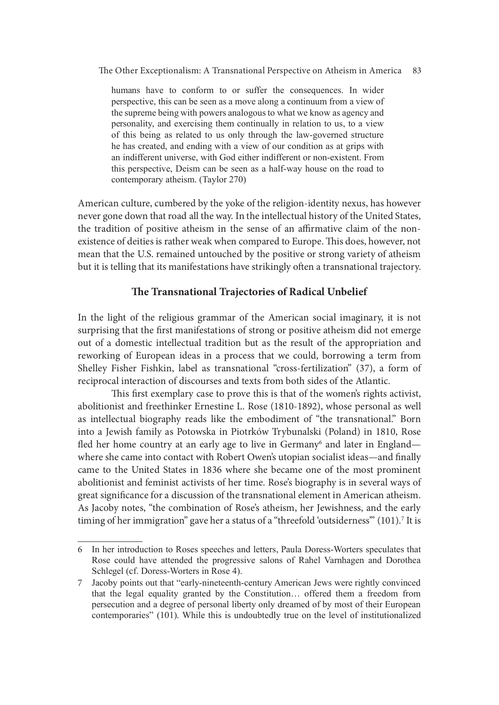e Other Exceptionalism: A Transnational Perspective on Atheism in America 83

Comparison Comparison A Transmational Perspective on Atheism in America 83<br>humans have to conform to or suffer the consequences. In wider<br>perspective, this can be seen as a move along a continuum from a view of<br>the supreme perspective, this can be seen as a move along a continuum from a view of the supreme being with powers analogous to what we know as agency and personality, and exercising them continually in relation to us, to a view Comparison of Conform to a Transnational Perspective on Atheism in America<br>83<br>humans have to conform to or suffer the consequences. In wider<br>perspective, this can be seen as a move along a continuum from a view of<br>the supr he has created, and ending with a view of our condition as at grips with an indifferent universe, with God either indifferent or non-existent. From this perspective, Deism can be seen as a half-way house on the road to contemporary atheism. (Taylor 270)

American culture, cumbered by the yoke of the religion-identity nexus, has however never gone down that road all the way. In the intellectual history of the United States, the tradition of positive atheism in the sense of an affirmative claim of the nonexistence of deities is rather weak when compared to Europe. This does, however, not mean that the U.S. remained untouched by the positive or strong variety of atheism but it is telling that its manifestations have strikingly oten a transnational trajectory.

# The Transnational Trajectories of Radical Unbelief

In the light of the religious grammar of the American social imaginary, it is not surprising that the first manifestations of strong or positive atheism did not emerge out of a domestic intellectual tradition but as the result of the appropriation and reworking of European ideas in a process that we could, borrowing a term from Shelley Fisher Fishkin, label as transnational "cross-fertilization" (37), a form of reciprocal interaction of discourses and texts from both sides of the Atlantic.

This first exemplary case to prove this is that of the women's rights activist, abolitionist and freethinker Ernestine L. Rose (1810-1892), whose personal as well as intellectual biography reads like the embodiment of "the transnational." Born into a Jewish family as Potowska in Piotrków Trybunalski (Poland) in 1810, Rose fled her home country at an early age to live in Germany<sup>6</sup> and later in England where she came into contact with Robert Owen's utopian socialist ideas—and finally came to the United States in 1836 where she became one of the most prominent abolitionist and feminist activists of her time. Rose's biography is in several ways of great significance for a discussion of the transnational element in American atheism. As Jacoby notes, "the combination of Rose's atheism, her Jewishness, and the early timing of her immigration" gave her a status of a "threefold 'outsiderness'" (101).7 It is

<sup>6</sup> In her introduction to Roses speeches and letters, Paula Doress-Worters speculates that Rose could have attended the progressive salons of Rahel Varnhagen and Dorothea Schlegel (cf. Doress-Worters in Rose 4).

<sup>7</sup> Jacoby points out that "early-nineteenth-century American Jews were rightly convinced that the legal equality granted by the Constitution… offered them a freedom from persecution and a degree of personal liberty only dreamed of by most of their European contemporaries" (101). While this is undoubtedly true on the level of institutionalized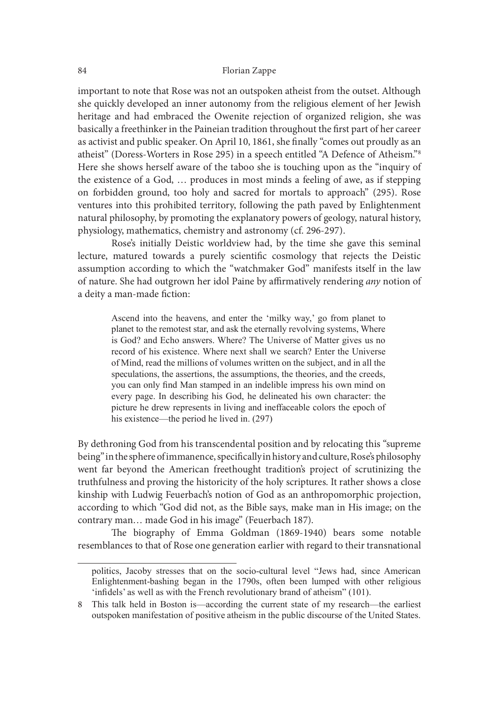important to note that Rose was not an outspoken atheist from the outset. Although she quickly developed an inner autonomy from the religious element of her Jewish heritage and had embraced the Owenite rejection of organized religion, she was basically a freethinker in the Paineian tradition throughout the first part of her career as activist and public speaker. On April 10, 1861, she finally "comes out proudly as an atheist" (Doress-Worters in Rose 295) in a speech entitled "A Defence of Atheism."8 Here she shows herself aware of the taboo she is touching upon as the "inquiry of the existence of a God, … produces in most minds a feeling of awe, as if stepping on forbidden ground, too holy and sacred for mortals to approach" (295). Rose ventures into this prohibited territory, following the path paved by Enlightenment natural philosophy, by promoting the explanatory powers of geology, natural history, physiology, mathematics, chemistry and astronomy (cf. 296-297). and had embraced the Owenite rejection of organized religion, she was a freethinker in the Paineian tradition throughout the first part of ther career and public speaker. On April 10, 1861, she finally "cones ou proudly as

 Rose's initially Deistic worldview had, by the time she gave this seminal lecture, matured towards a purely scientific cosmology that rejects the Deistic assumption according to which the "watchmaker God" manifests itself in the law of nature. She had outgrown her idol Paine by affirmatively rendering any notion of a deity a man-made fiction:

planet to the remotest star, and ask the eternally revolving systems, Where is God? and Echo answers. Where? The Universe of Matter gives us no record of his existence. Where next shall we search? Enter the Universe of Mind, read the millions of volumes written on the subject, and in all the speculations, the assertions, the assumptions, the theories, and the creeds, you can only find Man stamped in an indelible impress his own mind on every page. In describing his God, he delineated his own character: the picture he drew represents in living and ineffaceable colors the epoch of his existence—the period he lived in.  $(297)$ 

By dethroning God from his transcendental position and by relocating this "supreme being" in the sphere of immanence, specifically in history and culture, Rose's philosophy went far beyond the American freethought tradition's project of scrutinizing the truthfulness and proving the historicity of the holy scriptures. It rather shows a close kinship with Ludwig Feuerbach's notion of God as an anthropomorphic projection, according to which "God did not, as the Bible says, make man in His image; on the contrary man… made God in his image" (Feuerbach 187). or wund, read tue muniors or voculmes wintered on tee supered, and nat meet speculations, the assertions, the assumptions, the theories, and the creeds, you can only find Man stampto in an indelible impress his own nind on speculations, the assertions, the assumptions, the theoretos, and the creecas, and the core of perceptive the deve report in living and inerfaceable colors the epoch of his existence—the period he lived in. (297) and infer

The biography of Emma Goldman (1869-1940) bears some notable resemblances to that of Rose one generation earlier with regard to their transnational

<sup>&#</sup>x27;infidels' as well as with the French revolutionary brand of atheism" (101).

<sup>8</sup> This talk held in Boston is—according the current state of my research—the earliest outspoken manifestation of positive atheism in the public discourse of the United States.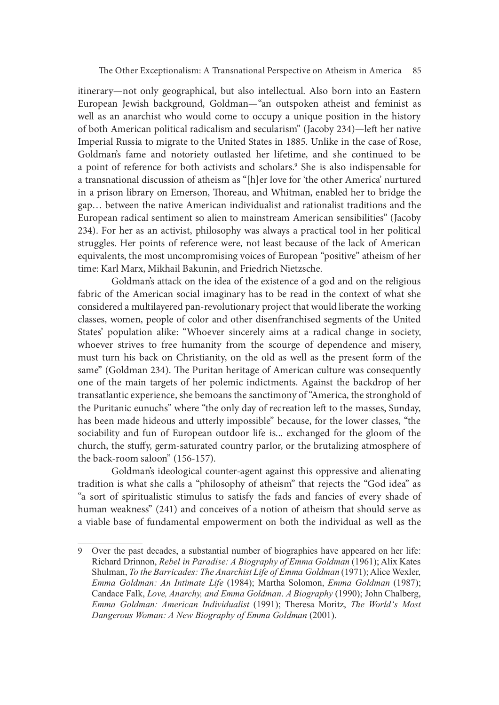itinerary—not only geographical, but also intellectual. Also born into an Eastern European Jewish background, Goldman—"an outspoken atheist and feminist as well as an anarchist who would come to occupy a unique position in the history of both American political radicalism and secularism" (Jacoby 234)—let her native Imperial Russia to migrate to the United States in 1885. Unlike in the case of Rose, Goldman's fame and notoriety outlasted her lifetime, and she continued to be a point of reference for both activists and scholars.<sup>9</sup> She is also indispensable for a transnational discussion of atheism as "[h]er love for 'the other America' nurtured in a prison library on Emerson, Thoreau, and Whitman, enabled her to bridge the gap… between the native American individualist and rationalist traditions and the European radical sentiment so alien to mainstream American sensibilities" (Jacoby 234). For her as an activist, philosophy was always a practical tool in her political struggles. Her points of reference were, not least because of the lack of American equivalents, the most uncompromising voices of European "positive" atheism of her time: Karl Marx, Mikhail Bakunin, and Friedrich Nietzsche.

 Goldman's attack on the idea of the existence of a god and on the religious fabric of the American social imaginary has to be read in the context of what she considered a multilayered pan-revolutionary project that would liberate the working classes, women, people of color and other disenfranchised segments of the United States' population alike: "Whoever sincerely aims at a radical change in society, whoever strives to free humanity from the scourge of dependence and misery, must turn his back on Christianity, on the old as well as the present form of the same" (Goldman 234). The Puritan heritage of American culture was consequently one of the main targets of her polemic indictments. Against the backdrop of her transatlantic experience, she bemoans the sanctimony of "America, the stronghold of the Puritanic eunuchs" where "the only day of recreation left to the masses, Sunday, has been made hideous and utterly impossible" because, for the lower classes, "the sociability and fun of European outdoor life is... exchanged for the gloom of the church, the stuffy, germ-saturated country parlor, or the brutalizing atmosphere of the back-room saloon" (156-157). for the main targets of her polemic indictments. Against the backdrop of her standardinic experience, she bemoans the sanctimony of "America, the stronghold of Puritanic eunuchs" where "the only day of recreation left to

 Goldman's ideological counter-agent against this oppressive and alienating tradition is what she calls a "philosophy of atheism" that rejects the "God idea" as "a sort of spiritualistic stimulus to satisfy the fads and fancies of every shade of human weakness" (241) and conceives of a notion of atheism that should serve as a viable base of fundamental empowerment on both the individual as well as the

<sup>9</sup> Over the past decades, a substantial number of biographies have appeared on her life: Richard Drinnon, Rebel in Paradise: A Biography of Emma Goldman (1961); Alix Kates Shulman, To the Barricades: The Anarchist Life of Emma Goldman (1971); Alice Wexler, Candace Falk, *Love, Anarchy, and Emma Goldman. A Biography* (1990); John Chalberg, Suature experience, she to entotions the scattentinory or America, in estitiong pure and the masses, Sunday, been made hideous and utterly impossible" because, for the lower classes, "the iability and fun of European outd Dangerous Woman: A New Biography of Emma Goldman (2001).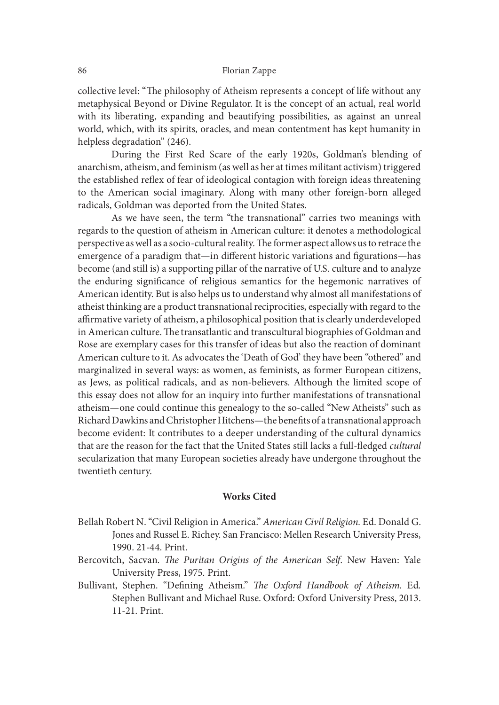collective level: "The philosophy of Atheism represents a concept of life without any metaphysical Beyond or Divine Regulator. It is the concept of an actual, real world with its liberating, expanding and beautifying possibilities, as against an unreal world, which, with its spirits, oracles, and mean contentment has kept humanity in helpless degradation" (246).

 During the First Red Scare of the early 1920s, Goldman's blending of anarchism, atheism, and feminism (as well as her at times militant activism) triggered the established reflex of fear of ideological contagion with foreign ideas threatening to the American social imaginary. Along with many other foreign-born alleged radicals, Goldman was deported from the United States.

 As we have seen, the term "the transnational" carries two meanings with regards to the question of atheism in American culture: it denotes a methodological perspective as well as a socio-cultural reality. The former aspect allows us to retrace the emergence of a paradigm that—in different historic variations and figurations—has become (and still is) a supporting pillar of the narrative of U.S. culture and to analyze the enduring significance of religious semantics for the hegemonic narratives of American identity. But is also helps us to understand why almost all manifestations of atheist thinking are a product transnational reciprocities, especially with regard to the affirmative variety of atheism, a philosophical position that is clearly underdeveloped in American culture. The transatlantic and transcultural biographies of Goldman and Rose are exemplary cases for this transfer of ideas but also the reaction of dominant American culture to it. As advocates the 'Death of God' they have been "othered" and marginalized in several ways: as women, as feminists, as former European citizens, as Jews, as political radicals, and as non-believers. Although the limited scope of this essay does not allow for an inquiry into further manifestations of transnational atheism—one could continue this genealogy to the so-called "New Atheists" such as Richard Dawkins and Christopher Hitchens—the benefits of a transnational approach become evident: It contributes to a deeper understanding of the cultural dynamics that are the reason for the fact that the United States still lacks a full-fledged cultural secularization that many European societies already have undergone throughout the twentieth century.

#### Works Cited

- Bellah Robert N. "Civil Religion in America." American Civil Religion. Ed. Donald G. Jones and Russel E. Richey. San Francisco: Mellen Research University Press, 1990. 21-44. Print.
- Bercovitch, Sacvan. The Puritan Origins of the American Self. New Haven: Yale University Press, 1975. Print.
- Bullivant, Stephen. "Defining Atheism." The Oxford Handbook of Atheism. Ed. Stephen Bullivant and Michael Ruse. Oxford: Oxford University Press, 2013. 11-21. Print.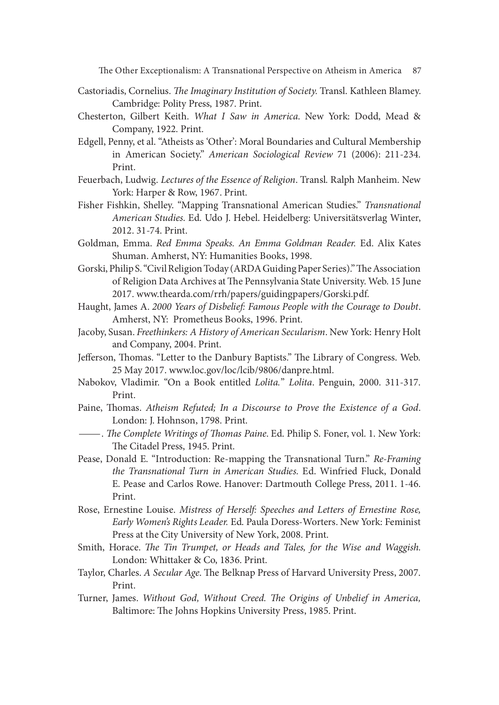e Other Exceptionalism: A Transnational Perspective on Atheism in America 87

- Castoriadis, Cornelius. The Imaginary Institution of Society. Transl. Kathleen Blamey. Cambridge: Polity Press, 1987. Print.
- Chesterton, Gilbert Keith. What I Saw in America. New York: Dodd, Mead & Company, 1922. Print.
- Edgell, Penny, et al. "Atheists as 'Other': Moral Boundaries and Cultural Membership in American Society." American Sociological Review 71 (2006): 211-234. Print.
- Feuerbach, Ludwig. Lectures of the Essence of Religion. Transl. Ralph Manheim. New York: Harper & Row, 1967. Print.
- Fisher Fishkin, Shelley. "Mapping Transnational American Studies." Transnational American Studies. Ed. Udo J. Hebel. Heidelberg: Universitätsverlag Winter, 2012. 31-74. Print.
- Goldman, Emma. Red Emma Speaks. An Emma Goldman Reader. Ed. Alix Kates Shuman. Amherst, NY: Humanities Books, 1998.
- Gorski, Philip S. "Civil Religion Today (ARDA Guiding Paper Series)." The Association of Religion Data Archives at The Pennsylvania State University. Web. 15 June 2017. www.thearda.com/rrh/papers/guidingpapers/Gorski.pdf.
- Haught, James A. 2000 Years of Disbelief: Famous People with the Courage to Doubt. Amherst, NY: Prometheus Books, 1996. Print.
- Jacoby, Susan. Freethinkers: A History of American Secularism. New York: Henry Holt and Company, 2004. Print.
- Jefferson, Thomas. "Letter to the Danbury Baptists." The Library of Congress. Web. 25 May 2017. www.loc.gov/loc/lcib/9806/danpre.html.
- Nabokov, Vladimir. "On a Book entitled Lolita." Lolita. Penguin, 2000. 311-317. Print.
- Paine, Thomas. Atheism Refuted; In a Discourse to Prove the Existence of a God.<br>London: J. Hohnson, 1798. Print.<br>——. The Complete Writings of Thomas Paine. Ed. Philip S. Foner, vol. 1. New York:
- The Citadel Press, 1945. Print.
- Pease, Donald E. "Introduction: Re-mapping the Transnational Turn." Re-Framing the Transnational Turn in American Studies. Ed. Winfried Fluck, Donald E. Pease and Carlos Rowe. Hanover: Dartmouth College Press, 2011. 1-46. Print.
- Rose, Ernestine Louise. Mistress of Herself: Speeches and Letters of Ernestine Rose, Early Women's Rights Leader. Ed. Paula Doress-Worters. New York: Feminist Press at the City University of New York, 2008. Print.
- Smith, Horace. The Tin Trumpet, or Heads and Tales, for the Wise and Waggish. London: Whittaker & Co, 1836. Print.
- Taylor, Charles. A Secular Age. The Belknap Press of Harvard University Press, 2007. Print.
- Turner, James. Without God, Without Creed. The Origins of Unbelief in America, Baltimore: The Johns Hopkins University Press, 1985. Print.